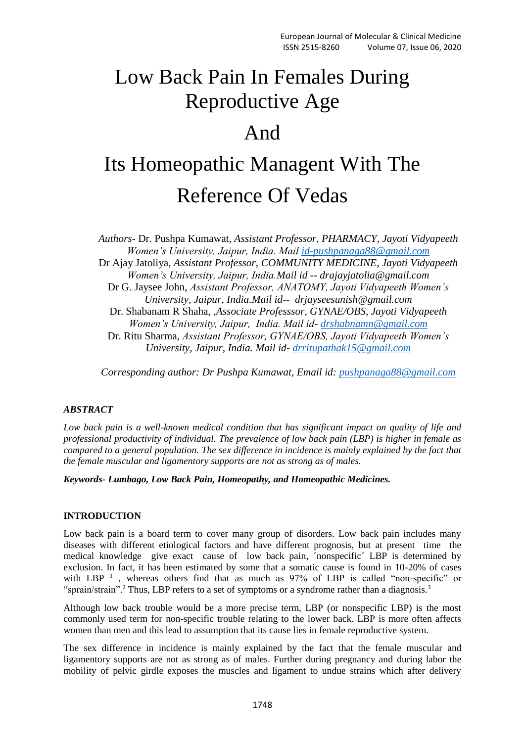## Low Back Pain In Females During Reproductive Age

### And

# Its Homeopathic Managent With The Reference Of Vedas

*Authors-* Dr. Pushpa Kumawat, *Assistant Professor, PHARMACY, Jayoti Vidyapeeth Women's University, Jaipur, India. Mail [id-pushpanaga88@gmail.com](mailto:id-pushpanaga88@gmail.com)* Dr Ajay Jatoliya, *Assistant Professor, COMMUNITY MEDICINE, Jayoti Vidyapeeth Women's University, Jaipur, India.Mail id -- drajayjatolia@gmail.com* Dr G. Jaysee John, *Assistant Professor, ANATOMY, Jayoti Vidyapeeth Women's University, Jaipur, India.Mail id-- drjayseesunish@gmail.com* Dr. Shabanam R Shaha, *,Associate Professsor, GYNAE/OBS, Jayoti Vidyapeeth Women's University, Jaipur, India. Mail id- [drshabnamn@gmail.com](mailto:drshabnamn@gmail.com)* Dr. Ritu Sharma, *Assistant Professor, GYNAE/OBS, Jayoti Vidyapeeth Women's University, Jaipur, India. Mail id- [drritupathak15@gmail.com](mailto:drritupathak15@gmail.com)*

*Corresponding author: Dr Pushpa Kumawat, Email id: [pushpanaga88@gmail.com](mailto:pushpanaga88@gmail.com)*

#### *ABSTRACT*

*Low back pain is a well-known medical condition that has significant impact on quality of life and professional productivity of individual. The prevalence of low back pain (LBP) is higher in female as compared to a general population. The sex difference in incidence is mainly explained by the fact that the female muscular and ligamentory supports are not as strong as of males.*

*Keywords- Lumbago, Low Back Pain, Homeopathy, and Homeopathic Medicines.*

#### **INTRODUCTION**

Low back pain is a board term to cover many group of disorders. Low back pain includes many diseases with different etiological factors and have different prognosis, but at present time the medical knowledge give exact cause of low back pain, ´nonspecific´ LBP is determined by exclusion. In fact, it has been estimated by some that a somatic cause is found in 10-20% of cases with LBP  $<sup>1</sup>$ , whereas others find that as much as 97% of LBP is called "non-specific" or</sup> "sprain/strain".<sup>2</sup> Thus, LBP refers to a set of symptoms or a syndrome rather than a diagnosis.<sup>3</sup>

Although low back trouble would be a more precise term, LBP (or nonspecific LBP) is the most commonly used term for non-specific trouble relating to the lower back. LBP is more often affects women than men and this lead to assumption that its cause lies in female reproductive system.

The sex difference in incidence is mainly explained by the fact that the female muscular and ligamentory supports are not as strong as of males. Further during pregnancy and during labor the mobility of pelvic girdle exposes the muscles and ligament to undue strains which after delivery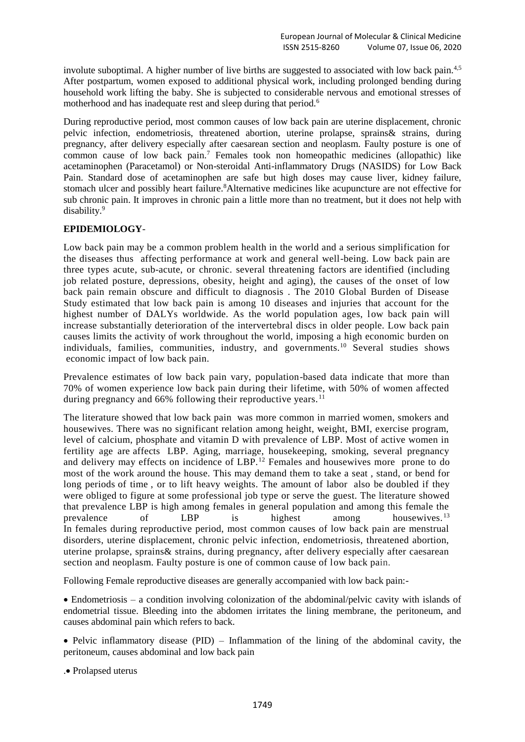involute suboptimal. A higher number of live births are suggested to associated with low back pain.<sup>4,5</sup> After postpartum, women exposed to additional physical work, including prolonged bending during household work lifting the baby. She is subjected to considerable nervous and emotional stresses of motherhood and has inadequate rest and sleep during that period.<sup>6</sup>

During reproductive period, most common causes of low back pain are uterine displacement, chronic pelvic infection, endometriosis, threatened abortion, uterine prolapse, sprains& strains, during pregnancy, after delivery especially after caesarean section and neoplasm. Faulty posture is one of common cause of low back pain.<sup>7</sup> Females took non homeopathic medicines (allopathic) like acetaminophen (Paracetamol) or Non-steroidal Anti-inflammatory Drugs (NASIDS) for Low Back Pain. Standard dose of acetaminophen are safe but high doses may cause liver, kidney failure, stomach ulcer and possibly heart failure.<sup>8</sup>Alternative medicines like acupuncture are not effective for sub chronic pain. It improves in chronic pain a little more than no treatment, but it does not help with disability.<sup>9</sup>

#### **EPIDEMIOLOGY**-

Low back pain may be a common problem health in the world and a serious simplification for the diseases thus affecting performance at work and general well-being. Low back pain are three types acute, sub-acute, or chronic. several threatening factors are identified (including job related posture, depressions, obesity, height and aging), the causes of the onset of low back pain remain obscure and difficult to diagnosis . The 2010 Global Burden of Disease Study estimated that low back pain is among 10 diseases and injuries that account for the highest number of DALYs worldwide. As the world population ages, low back pain will increase substantially deterioration of the intervertebral discs in older people. Low back pain causes limits the activity of work throughout the world, imposing a high economic burden on individuals, families, communities, industry, and governments.<sup>10</sup> Several studies shows economic impact of low back pain.

Prevalence estimates of low back pain vary, population-based data indicate that more than 70% of women experience low back pain during their lifetime, with 50% of women affected during pregnancy and  $66\%$  following their reproductive years.<sup>11</sup>

The literature showed that low back pain was more common in married women, smokers and housewives. There was no significant relation among height, weight, BMI, exercise program, level of calcium, phosphate and vitamin D with prevalence of LBP. Most of active women in fertility age are affects LBP. Aging, marriage, housekeeping, smoking, several pregnancy and delivery may effects on incidence of LBP.<sup>12</sup> Females and housewives more prone to do most of the work around the house. This may demand them to take a seat , stand, or bend for long periods of time , or to lift heavy weights. The amount of labor also be doubled if they were obliged to figure at some professional job type or serve the guest. The literature showed that prevalence LBP is high among females in general population and among this female the prevalence of LBP is highest among housewives.<sup>13</sup> In females during reproductive period, most common causes of low back pain are menstrual disorders, uterine displacement, chronic pelvic infection, endometriosis, threatened abortion, uterine prolapse, sprains& strains, during pregnancy, after delivery especially after caesarean section and neoplasm. Faulty posture is one of common cause of low back pain.

Following Female reproductive diseases are generally accompanied with low back pain:-

 Endometriosis – a condition involving colonization of the abdominal/pelvic cavity with islands of endometrial tissue. Bleeding into the abdomen irritates the lining membrane, the peritoneum, and causes abdominal pain which refers to back.

• Pelvic inflammatory disease  $(PID)$  – Inflammation of the lining of the abdominal cavity, the peritoneum, causes abdominal and low back pain

. Prolapsed uterus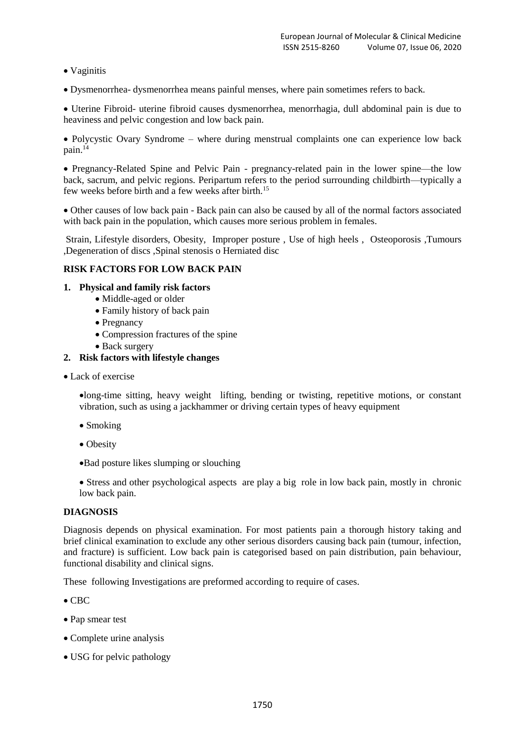- Vaginitis
- Dysmenorrhea- dysmenorrhea means painful menses, where pain sometimes refers to back.

 Uterine Fibroid- uterine fibroid causes dysmenorrhea, menorrhagia, dull abdominal pain is due to heaviness and pelvic congestion and low back pain.

 Polycystic Ovary Syndrome – where during menstrual complaints one can experience low back pain.<sup>14</sup>

 Pregnancy-Related Spine and Pelvic Pain - pregnancy-related pain in the lower spine—the low back, sacrum, and pelvic regions. Peripartum refers to the period surrounding childbirth—typically a few weeks before birth and a few weeks after birth.<sup>15</sup>

 Other causes of low back pain - Back pain can also be caused by all of the normal factors associated with back pain in the population, which causes more serious problem in females.

Strain, Lifestyle disorders, Obesity, Improper posture , Use of high heels , Osteoporosis ,Tumours ,Degeneration of discs ,Spinal stenosis o Herniated disc

#### **RISK FACTORS FOR LOW BACK PAIN**

#### **1. Physical and family risk factors**

- Middle-aged or older
- Family history of back pain
- Pregnancy
- Compression fractures of the spine
- Back surgery

#### **2. Risk factors with lifestyle changes**

• Lack of exercise

long-time sitting, heavy weight lifting, bending or twisting, repetitive motions, or constant vibration, such as using a jackhammer or driving certain types of heavy equipment

- Smoking
- Obesity
- Bad posture likes slumping or slouching

 Stress and other psychological aspects are play a big role in low back pain, mostly in chronic low back pain.

#### **DIAGNOSIS**

Diagnosis depends on physical examination. For most patients pain a thorough history taking and brief clinical examination to exclude any other serious disorders causing back pain (tumour, infection, and fracture) is sufficient. Low back pain is categorised based on pain distribution, pain behaviour, functional disability and clinical signs.

These following Investigations are preformed according to require of cases.

- $\bullet$  CBC
- Pap smear test
- Complete urine analysis
- USG for pelvic pathology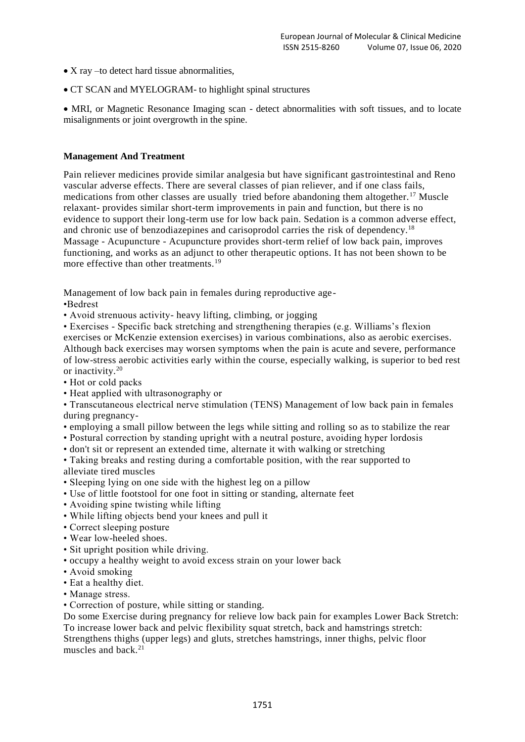- X ray –to detect hard tissue abnormalities,
- CT SCAN and MYELOGRAM- to highlight spinal structures

 MRI, or Magnetic Resonance Imaging scan - detect abnormalities with soft tissues, and to locate misalignments or joint overgrowth in the spine.

#### **Management And Treatment**

Pain reliever medicines provide similar analgesia but have significant gastrointestinal and Reno vascular adverse effects. There are several classes of pian reliever, and if one class fails, medications from other classes are usually tried before abandoning them altogether.<sup>17</sup> Muscle relaxant- provides similar short-term improvements in pain and function, but there is no evidence to support their long-term use for low back pain. Sedation is a common adverse effect, and chronic use of benzodiazepines and carisoprodol carries the risk of dependency.<sup>18</sup> Massage - Acupuncture - Acupuncture provides short-term relief of low back pain, improves functioning, and works as an adjunct to other therapeutic options. It has not been shown to be more effective than other treatments.<sup>19</sup>

Management of low back pain in females during reproductive age-

•Bedrest

• Avoid strenuous activity- heavy lifting, climbing, or jogging

• Exercises - Specific back stretching and strengthening therapies (e.g. Williams's flexion exercises or McKenzie extension exercises) in various combinations, also as aerobic exercises. Although back exercises may worsen symptoms when the pain is acute and severe, performance of low-stress aerobic activities early within the course, especially walking, is superior to bed rest or inactivity.<sup>20</sup>

- Hot or cold packs
- Heat applied with ultrasonography or
- Transcutaneous electrical nerve stimulation (TENS) Management of low back pain in females during pregnancy-
- employing a small pillow between the legs while sitting and rolling so as to stabilize the rear
- Postural correction by standing upright with a neutral posture, avoiding hyper lordosis
- don't sit or represent an extended time, alternate it with walking or stretching

• Taking breaks and resting during a comfortable position, with the rear supported to alleviate tired muscles

- Sleeping lying on one side with the highest leg on a pillow
- Use of little footstool for one foot in sitting or standing, alternate feet
- Avoiding spine twisting while lifting
- While lifting objects bend your knees and pull it
- Correct sleeping posture
- Wear low-heeled shoes.
- Sit upright position while driving.
- occupy a healthy weight to avoid excess strain on your lower back
- Avoid smoking
- Eat a healthy diet.
- Manage stress.
- Correction of posture, while sitting or standing.

Do some Exercise during pregnancy for relieve low back pain for examples Lower Back Stretch: To increase lower back and pelvic flexibility squat stretch, back and hamstrings stretch: Strengthens thighs (upper legs) and gluts, stretches hamstrings, inner thighs, pelvic floor muscles and back.21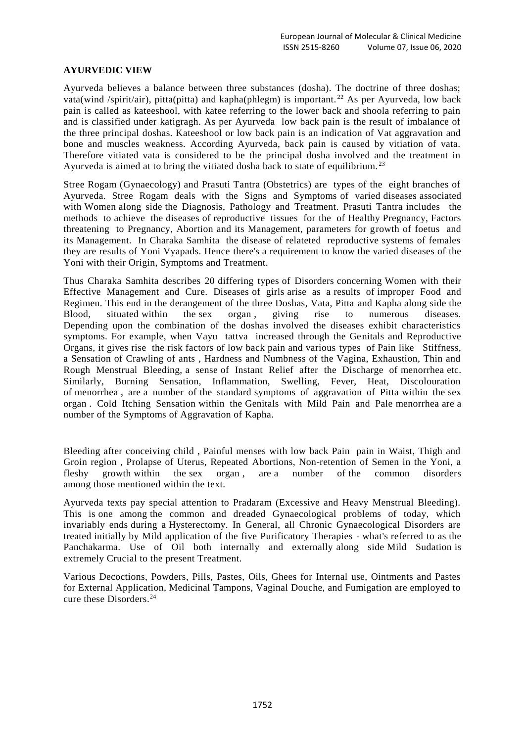#### **AYURVEDIC VIEW**

Ayurveda believes a balance between three substances (dosha). The doctrine of three doshas; vata(wind /spirit/air), pitta(pitta) and kapha(phlegm) is important.<sup>22</sup> As per Ayurveda, low back pain is called as kateeshool, with katee referring to the lower back and shoola referring to pain and is classified under katigragh. As per Ayurveda low back pain is the result of imbalance of the three principal doshas. Kateeshool or low back pain is an indication of Vat aggravation and bone and muscles weakness. According Ayurveda, back pain is caused by vitiation of vata. Therefore vitiated vata is considered to be the principal dosha involved and the treatment in Ayurveda is aimed at to bring the vitiated dosha back to state of equilibrium.<sup>23</sup>

Stree Rogam (Gynaecology) and Prasuti Tantra (Obstetrics) are types of the eight branches of Ayurveda. Stree Rogam deals with the Signs and Symptoms of varied diseases associated with Women along side the Diagnosis, Pathology and Treatment. Prasuti Tantra includes the methods to achieve the diseases of reproductive tissues for the of Healthy Pregnancy, Factors threatening to Pregnancy, Abortion and its Management, parameters for growth of foetus and its Management. In Charaka Samhita the disease of relateted reproductive systems of females they are results of Yoni Vyapads. Hence there's a requirement to know the varied diseases of the Yoni with their Origin, Symptoms and Treatment.

Thus Charaka Samhita describes 20 differing types of Disorders concerning Women with their Effective Management and Cure. Diseases of girls arise as a results of improper Food and Regimen. This end in the derangement of the three Doshas, Vata, Pitta and Kapha along side the Blood, situated within the sex organ , giving rise to numerous diseases. Depending upon the combination of the doshas involved the diseases exhibit characteristics symptoms. For example, when Vayu tattva increased through the Genitals and Reproductive Organs, it gives rise the risk factors of low back pain and various types of Pain like Stiffness, a Sensation of Crawling of ants , Hardness and Numbness of the Vagina, Exhaustion, Thin and Rough Menstrual Bleeding, a sense of Instant Relief after the Discharge of menorrhea etc. Similarly, Burning Sensation, Inflammation, Swelling, Fever, Heat, Discolouration of menorrhea , are a number of the standard symptoms of aggravation of Pitta within the sex organ . Cold Itching Sensation within the Genitals with Mild Pain and Pale menorrhea are a number of the Symptoms of Aggravation of Kapha.

Bleeding after conceiving child , Painful menses with low back Pain pain in Waist, Thigh and Groin region , Prolapse of Uterus, Repeated Abortions, Non-retention of Semen in the Yoni, a fleshy growth within the sex organ , are a number of the common disorders among those mentioned within the text.

Ayurveda texts pay special attention to Pradaram (Excessive and Heavy Menstrual Bleeding). This is one among the common and dreaded Gynaecological problems of today, which invariably ends during a Hysterectomy. In General, all Chronic Gynaecological Disorders are treated initially by Mild application of the five Purificatory Therapies - what's referred to as the Panchakarma. Use of Oil both internally and externally along side Mild Sudation is extremely Crucial to the present Treatment.

Various Decoctions, Powders, Pills, Pastes, Oils, Ghees for Internal use, Ointments and Pastes for External Application, Medicinal Tampons, Vaginal Douche, and Fumigation are employed to cure these Disorders.24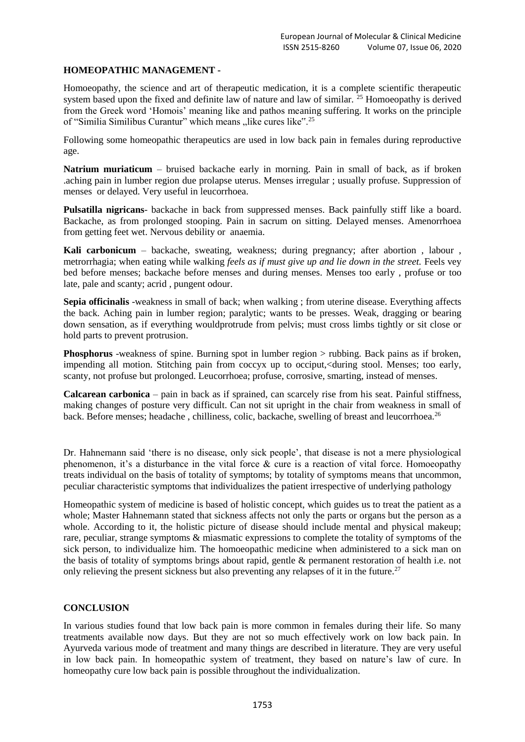#### **HOMEOPATHIC MANAGEMENT -**

Homoeopathy, the science and art of therapeutic medication, it is a complete scientific therapeutic system based upon the fixed and definite law of nature and law of similar. <sup>25</sup> Homoeopathy is derived from the Greek word 'Homois' meaning like and pathos meaning suffering. It works on the principle of "Similia Similibus Curantur" which means "like cures like".<sup>25</sup>

Following some homeopathic therapeutics are used in low back pain in females during reproductive age.

**Natrium muriaticum** – bruised backache early in morning. Pain in small of back, as if broken .aching pain in lumber region due prolapse uterus. Menses irregular ; usually profuse. Suppression of menses or delayed. Very useful in leucorrhoea.

**Pulsatilla nigricans**- backache in back from suppressed menses. Back painfully stiff like a board. Backache, as from prolonged stooping. Pain in sacrum on sitting. Delayed menses. Amenorrhoea from getting feet wet. Nervous debility or anaemia.

**Kali carbonicum** – backache, sweating, weakness; during pregnancy; after abortion , labour , metrorrhagia; when eating while walking *feels as if must give up and lie down in the street.* Feels vey bed before menses; backache before menses and during menses. Menses too early , profuse or too late, pale and scanty; acrid , pungent odour.

**Sepia officinalis** -weakness in small of back; when walking ; from uterine disease. Everything affects the back. Aching pain in lumber region; paralytic; wants to be presses. Weak, dragging or bearing down sensation, as if everything wouldprotrude from pelvis; must cross limbs tightly or sit close or hold parts to prevent protrusion.

**Phosphorus** -weakness of spine. Burning spot in lumber region > rubbing. Back pains as if broken, impending all motion. Stitching pain from coccyx up to occiput,<during stool. Menses; too early, scanty, not profuse but prolonged. Leucorrhoea; profuse, corrosive, smarting, instead of menses.

**Calcarean carbonica** – pain in back as if sprained, can scarcely rise from his seat. Painful stiffness, making changes of posture very difficult. Can not sit upright in the chair from weakness in small of back. Before menses; headache, chilliness, colic, backache, swelling of breast and leucorrhoea.<sup>26</sup>

Dr. Hahnemann said 'there is no disease, only sick people', that disease is not a mere physiological phenomenon, it's a disturbance in the vital force & cure is a reaction of vital force. Homoeopathy treats individual on the basis of totality of symptoms; by totality of symptoms means that uncommon, peculiar characteristic symptoms that individualizes the patient irrespective of underlying pathology

Homeopathic system of medicine is based of holistic concept, which guides us to treat the patient as a whole; Master Hahnemann stated that sickness affects not only the parts or organs but the person as a whole. According to it, the holistic picture of disease should include mental and physical makeup; rare, peculiar, strange symptoms & miasmatic expressions to complete the totality of symptoms of the sick person, to individualize him. The homoeopathic medicine when administered to a sick man on the basis of totality of symptoms brings about rapid, gentle & permanent restoration of health i.e. not only relieving the present sickness but also preventing any relapses of it in the future.<sup>27</sup>

#### **CONCLUSION**

In various studies found that low back pain is more common in females during their life. So many treatments available now days. But they are not so much effectively work on low back pain. In Ayurveda various mode of treatment and many things are described in literature. They are very useful in low back pain. In homeopathic system of treatment, they based on nature's law of cure. In homeopathy cure low back pain is possible throughout the individualization.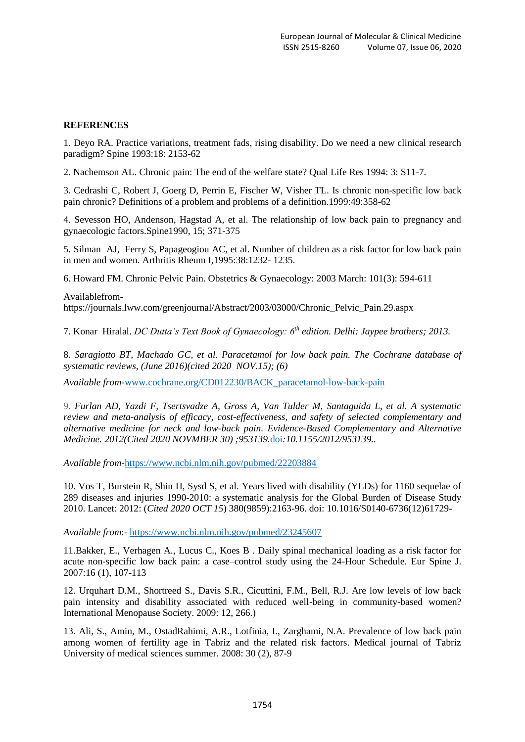#### **REFERENCES**

1. Deyo RA. Practice variations, treatment fads, rising disability. Do we need a new clinical research paradigm? Spine 1993:18: 2153-62

2. Nachemson AL. Chronic pain: The end of the welfare state? Qual Life Res 1994: 3: S11-7.

3. Cedrashi C, Robert J, Goerg D, Perrin E, Fischer W, Visher TL. Is chronic non-specific low back pain chronic? Definitions of a problem and problems of a definition.1999:49:358-62

4. Sevesson HO, Andenson, Hagstad A, et al. The relationship of low back pain to pregnancy and gynaecologic factors.Spine1990, 15; 371-375

5. Silman AJ, Ferry S, Papageogiou AC, et al. Number of children as a risk factor for low back pain in men and women. Arthritis Rheum I,1995:38:1232- 1235.

6. Howard FM. Chronic Pelvic Pain. Obstetrics & Gynaecology: 2003 March: 101(3): 594-611

Availablefromhttps://journals.lww.com/greenjournal/Abstract/2003/03000/Chronic\_Pelvic\_Pain.29.aspx

7. Konar Hiralal. *DC Dutta's Text Book of Gynaecology: 6th edition. Delhi: Jaypee brothers; 2013.* 

8. *Saragiotto BT, Machado GC, et al. Paracetamol for low back pain. The Cochrane database of systematic reviews, (June 2016)(cited 2020 NOV.15); (6)*

*Available from-*[www.cochrane.org/CD012230/BACK\\_paracetamol-low-back-pain](http://www.cochrane.org/CD012230/BACK_paracetamol-low-back-pain)

9. *Furlan AD, Yazdi F, Tsertsvadze A, Gross A, Van Tulder M, Santaguida L, et al. A systematic review and meta-analysis of efficacy, cost-effectiveness, and safety of selected complementary and alternative medicine for neck and low-back pain. Evidence-Based Complementary and Alternative Medicine. 2012(Cited 2020 NOVMBER 30) ;953139.*[doi](https://en.wikipedia.org/wiki/Digital_object_identifier)*[:10.1155/2012/953139.](https://dx.doi.org/10.1155%2F2012%2F953139).*

*Available from-*<https://www.ncbi.nlm.nih.gov/pubmed/22203884>

10. Vos T, Burstein R, Shin H, Sysd S, et al. Years lived with disability (YLDs) for 1160 sequelae of 289 diseases and injuries 1990-2010: a systematic analysis for the Global Burden of Disease Study 2010. Lancet: 2012: (*Cited 2020 OCT 15*) 380(9859):2163-96. doi: 10.1016/S0140-6736(12)61729-

*Available from*:- <https://www.ncbi.nlm.nih.gov/pubmed/23245607>

11.Bakker, E., Verhagen A., Lucus C., Koes B . Daily spinal mechanical loading as a risk factor for acute non-specific low back pain: a case–control study using the 24-Hour Schedule. Eur Spine J. 2007:16 (1), 107-113

12. Urquhart D.M., Shortreed S., Davis S.R., Cicuttini, F.M., Bell, R.J. Are low levels of low back pain intensity and disability associated with reduced well-being in community-based women? International Menopause Society. 2009: 12, 266.)

13. Ali, S., Amin, M., OstadRahimi, A.R., Lotfinia, I., Zarghami, N.A. Prevalence of low back pain among women of fertility age in Tabriz and the related risk factors. Medical journal of Tabriz University of medical sciences summer. 2008: 30 (2), 87-9